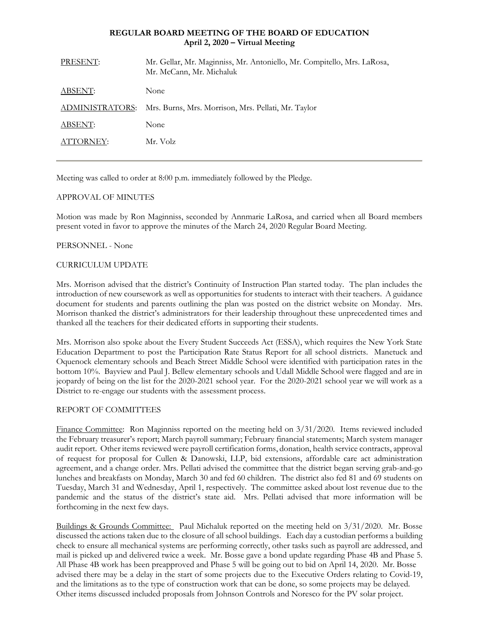## **REGULAR BOARD MEETING OF THE BOARD OF EDUCATION April 2, 2020 – Virtual Meeting**

| PRESENT:        | Mr. Gellar, Mr. Maginniss, Mr. Antoniello, Mr. Compitello, Mrs. LaRosa,<br>Mr. McCann, Mr. Michaluk |
|-----------------|-----------------------------------------------------------------------------------------------------|
| ABSENT:         | None                                                                                                |
| ADMINISTRATORS: | Mrs. Burns, Mrs. Morrison, Mrs. Pellati, Mr. Taylor                                                 |
| ABSENT:         | None                                                                                                |
| ATTORNEY:       | Mr. Volz                                                                                            |
|                 |                                                                                                     |

Meeting was called to order at 8:00 p.m. immediately followed by the Pledge.

## APPROVAL OF MINUTES

Motion was made by Ron Maginniss, seconded by Annmarie LaRosa, and carried when all Board members present voted in favor to approve the minutes of the March 24, 2020 Regular Board Meeting.

## PERSONNEL - None

#### CURRICULUM UPDATE

Mrs. Morrison advised that the district's Continuity of Instruction Plan started today. The plan includes the introduction of new coursework as well as opportunities for students to interact with their teachers. A guidance document for students and parents outlining the plan was posted on the district website on Monday. Mrs. Morrison thanked the district's administrators for their leadership throughout these unprecedented times and thanked all the teachers for their dedicated efforts in supporting their students.

Mrs. Morrison also spoke about the Every Student Succeeds Act (ESSA), which requires the New York State Education Department to post the Participation Rate Status Report for all school districts. Manetuck and Oquenock elementary schools and Beach Street Middle School were identified with participation rates in the bottom 10%. Bayview and Paul J. Bellew elementary schools and Udall Middle School were flagged and are in jeopardy of being on the list for the 2020-2021 school year. For the 2020-2021 school year we will work as a District to re-engage our students with the assessment process.

#### REPORT OF COMMITTEES

Finance Committee: Ron Maginniss reported on the meeting held on 3/31/2020. Items reviewed included the February treasurer's report; March payroll summary; February financial statements; March system manager audit report. Other items reviewed were payroll certification forms, donation, health service contracts, approval of request for proposal for Cullen & Danowski, LLP, bid extensions, affordable care act administration agreement, and a change order. Mrs. Pellati advised the committee that the district began serving grab-and-go lunches and breakfasts on Monday, March 30 and fed 60 children. The district also fed 81 and 69 students on Tuesday, March 31 and Wednesday, April 1, respectively. The committee asked about lost revenue due to the pandemic and the status of the district's state aid. Mrs. Pellati advised that more information will be forthcoming in the next few days.

Buildings & Grounds Committee: Paul Michaluk reported on the meeting held on 3/31/2020. Mr. Bosse discussed the actions taken due to the closure of all school buildings. Each day a custodian performs a building check to ensure all mechanical systems are performing correctly, other tasks such as payroll are addressed, and mail is picked up and delivered twice a week. Mr. Bosse gave a bond update regarding Phase 4B and Phase 5. All Phase 4B work has been preapproved and Phase 5 will be going out to bid on April 14, 2020. Mr. Bosse advised there may be a delay in the start of some projects due to the Executive Orders relating to Covid-19, and the limitations as to the type of construction work that can be done, so some projects may be delayed. Other items discussed included proposals from Johnson Controls and Noresco for the PV solar project.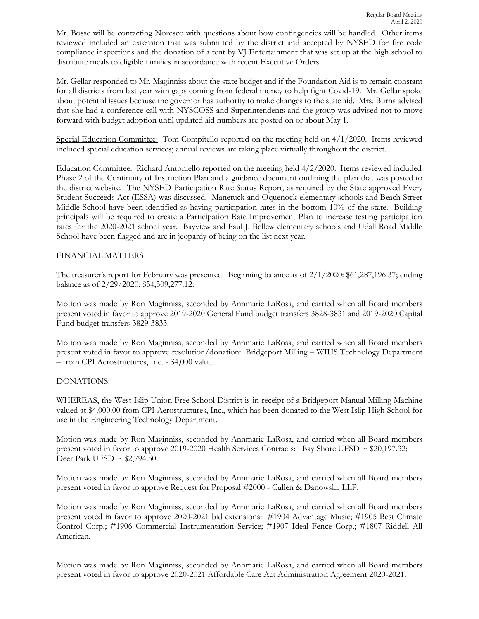Mr. Bosse will be contacting Noresco with questions about how contingencies will be handled. Other items reviewed included an extension that was submitted by the district and accepted by NYSED for fire code compliance inspections and the donation of a tent by VJ Entertainment that was set up at the high school to distribute meals to eligible families in accordance with recent Executive Orders.

Mr. Gellar responded to Mr. Maginniss about the state budget and if the Foundation Aid is to remain constant for all districts from last year with gaps coming from federal money to help fight Covid-19. Mr. Gellar spoke about potential issues because the governor has authority to make changes to the state aid. Mrs. Burns advised that she had a conference call with NYSCOSS and Superintendents and the group was advised not to move forward with budget adoption until updated aid numbers are posted on or about May 1.

Special Education Committee: Tom Compitello reported on the meeting held on 4/1/2020. Items reviewed included special education services; annual reviews are taking place virtually throughout the district.

Education Committee: Richard Antoniello reported on the meeting held 4/2/2020. Items reviewed included Phase 2 of the Continuity of Instruction Plan and a guidance document outlining the plan that was posted to the district website. The NYSED Participation Rate Status Report, as required by the State approved Every Student Succeeds Act (ESSA) was discussed. Manetuck and Oquenock elementary schools and Beach Street Middle School have been identified as having participation rates in the bottom 10% of the state. Building principals will be required to create a Participation Rate Improvement Plan to increase testing participation rates for the 2020-2021 school year. Bayview and Paul J. Bellew elementary schools and Udall Road Middle School have been flagged and are in jeopardy of being on the list next year.

# FINANCIAL MATTERS

The treasurer's report for February was presented. Beginning balance as of 2/1/2020: \$61,287,196.37; ending balance as of 2/29/2020: \$54,509,277.12.

Motion was made by Ron Maginniss, seconded by Annmarie LaRosa, and carried when all Board members present voted in favor to approve 2019-2020 General Fund budget transfers 3828-3831 and 2019-2020 Capital Fund budget transfers 3829-3833.

Motion was made by Ron Maginniss, seconded by Annmarie LaRosa, and carried when all Board members present voted in favor to approve resolution/donation: Bridgeport Milling – WIHS Technology Department – from CPI Aerostructures, Inc. - \$4,000 value.

#### DONATIONS:

WHEREAS, the West Islip Union Free School District is in receipt of a Bridgeport Manual Milling Machine valued at \$4,000.00 from CPI Aerostructures, Inc., which has been donated to the West Islip High School for use in the Engineering Technology Department.

Motion was made by Ron Maginniss, seconded by Annmarie LaRosa, and carried when all Board members present voted in favor to approve 2019-2020 Health Services Contracts: Bay Shore UFSD  $\sim$  \$20,197.32; Deer Park UFSD  $\sim$  \$2,794.50.

Motion was made by Ron Maginniss, seconded by Annmarie LaRosa, and carried when all Board members present voted in favor to approve Request for Proposal #2000 - Cullen & Danowski, LLP.

Motion was made by Ron Maginniss, seconded by Annmarie LaRosa, and carried when all Board members present voted in favor to approve 2020-2021 bid extensions: #1904 Advantage Music; #1905 Best Climate Control Corp.; #1906 Commercial Instrumentation Service; #1907 Ideal Fence Corp.; #1807 Riddell All American.

Motion was made by Ron Maginniss, seconded by Annmarie LaRosa, and carried when all Board members present voted in favor to approve 2020-2021 Affordable Care Act Administration Agreement 2020-2021.